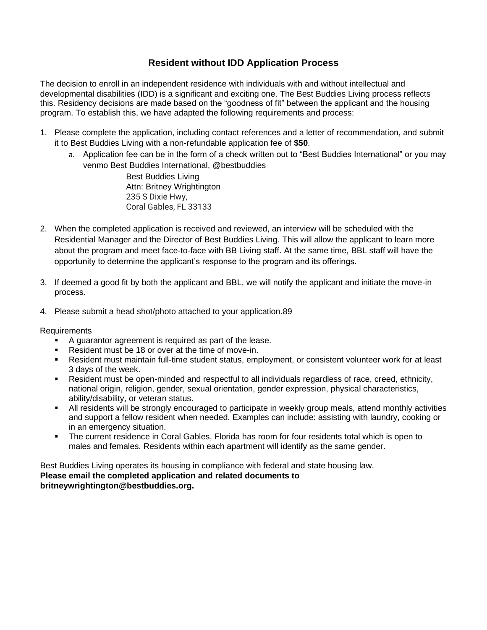### **Resident without IDD Application Process**

The decision to enroll in an independent residence with individuals with and without intellectual and developmental disabilities (IDD) is a significant and exciting one. The Best Buddies Living process reflects this. Residency decisions are made based on the "goodness of fit" between the applicant and the housing program. To establish this, we have adapted the following requirements and process:

- 1. Please complete the application, including contact references and a letter of recommendation, and submit it to Best Buddies Living with a non-refundable application fee of **\$50**.
	- a. Application fee can be in the form of a check written out to "Best Buddies International" or you may venmo Best Buddies International, @bestbuddies

Best Buddies Living Attn: Britney Wrightington 235 S Dixie Hwy, Coral Gables, FL 33133

- 2. When the completed application is received and reviewed, an interview will be scheduled with the Residential Manager and the Director of Best Buddies Living. This will allow the applicant to learn more about the program and meet face-to-face with BB Living staff. At the same time, BBL staff will have the opportunity to determine the applicant's response to the program and its offerings.
- 3. If deemed a good fit by both the applicant and BBL, we will notify the applicant and initiate the move-in process.
- 4. Please submit a head shot/photo attached to your application.89

Requirements

- A guarantor agreement is required as part of the lease.
- Resident must be 18 or over at the time of move-in.
- Resident must maintain full-time student status, employment, or consistent volunteer work for at least 3 days of the week.
- Resident must be open-minded and respectful to all individuals regardless of race, creed, ethnicity, national origin, religion, gender, sexual orientation, gender expression, physical characteristics, ability/disability, or veteran status.
- All residents will be strongly encouraged to participate in weekly group meals, attend monthly activities and support a fellow resident when needed. Examples can include: assisting with laundry, cooking or in an emergency situation.
- The current residence in Coral Gables, Florida has room for four residents total which is open to males and females. Residents within each apartment will identify as the same gender.

Best Buddies Living operates its housing in compliance with federal and state housing law. **Please email the completed application and related documents to britneywrightington@bestbuddies.org.**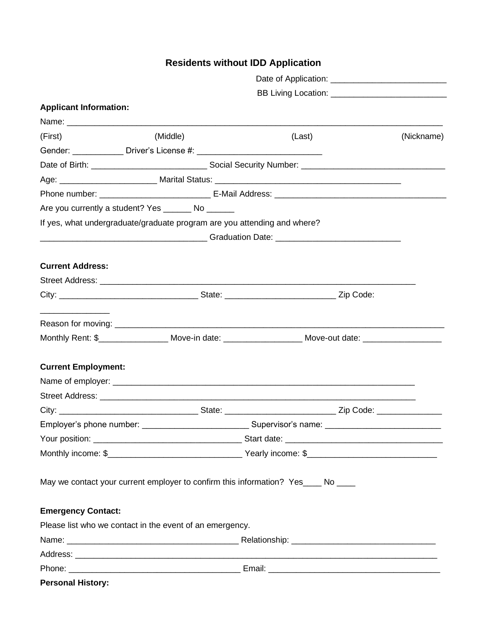# **Residents without IDD Application**

|                                                                                   | BB Living Location: ____________________________ |                                                                                                             |            |  |
|-----------------------------------------------------------------------------------|--------------------------------------------------|-------------------------------------------------------------------------------------------------------------|------------|--|
| <b>Applicant Information:</b>                                                     |                                                  |                                                                                                             |            |  |
|                                                                                   |                                                  |                                                                                                             |            |  |
| (First)                                                                           | (Middle)                                         | (Last)                                                                                                      | (Nickname) |  |
|                                                                                   |                                                  |                                                                                                             |            |  |
|                                                                                   |                                                  |                                                                                                             |            |  |
|                                                                                   |                                                  |                                                                                                             |            |  |
|                                                                                   |                                                  |                                                                                                             |            |  |
| Are you currently a student? Yes _______ No ______                                |                                                  |                                                                                                             |            |  |
| If yes, what undergraduate/graduate program are you attending and where?          |                                                  |                                                                                                             |            |  |
|                                                                                   |                                                  |                                                                                                             |            |  |
| <b>Current Address:</b>                                                           |                                                  |                                                                                                             |            |  |
|                                                                                   |                                                  |                                                                                                             |            |  |
|                                                                                   |                                                  |                                                                                                             |            |  |
|                                                                                   |                                                  |                                                                                                             |            |  |
|                                                                                   |                                                  | Monthly Rent: \$_____________________ Move-in date: _______________________ Move-out date: ________________ |            |  |
| <b>Current Employment:</b>                                                        |                                                  |                                                                                                             |            |  |
|                                                                                   |                                                  |                                                                                                             |            |  |
|                                                                                   |                                                  |                                                                                                             |            |  |
|                                                                                   |                                                  |                                                                                                             |            |  |
|                                                                                   |                                                  |                                                                                                             |            |  |
|                                                                                   |                                                  |                                                                                                             |            |  |
|                                                                                   |                                                  |                                                                                                             |            |  |
| May we contact your current employer to confirm this information? Yes____ No ____ |                                                  |                                                                                                             |            |  |
|                                                                                   |                                                  |                                                                                                             |            |  |
| <b>Emergency Contact:</b>                                                         |                                                  |                                                                                                             |            |  |
| Please list who we contact in the event of an emergency.                          |                                                  |                                                                                                             |            |  |
|                                                                                   |                                                  |                                                                                                             |            |  |
|                                                                                   |                                                  |                                                                                                             |            |  |
|                                                                                   |                                                  |                                                                                                             |            |  |
| <b>Personal History:</b>                                                          |                                                  |                                                                                                             |            |  |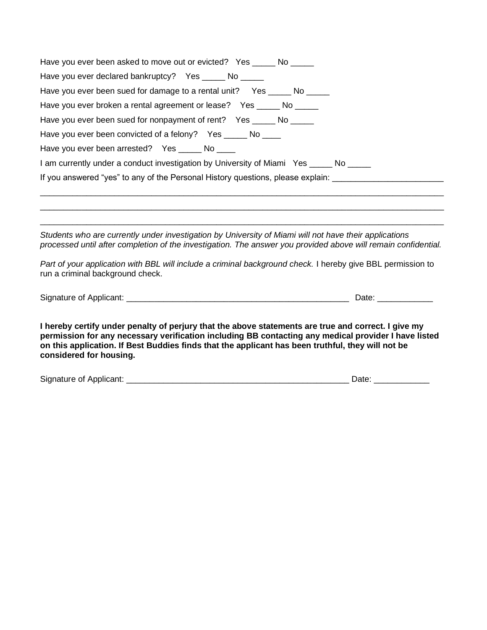| Have you ever been asked to move out or evicted? Yes _____ No _____                                                                                                                                                                                                                                                                         |                       |
|---------------------------------------------------------------------------------------------------------------------------------------------------------------------------------------------------------------------------------------------------------------------------------------------------------------------------------------------|-----------------------|
| Have you ever declared bankruptcy? Yes _____ No _____                                                                                                                                                                                                                                                                                       |                       |
| Have you ever been sued for damage to a rental unit? Yes _____ No _____                                                                                                                                                                                                                                                                     |                       |
| Have you ever broken a rental agreement or lease? Yes _____ No _____                                                                                                                                                                                                                                                                        |                       |
| Have you ever been sued for nonpayment of rent? Yes _____ No _____                                                                                                                                                                                                                                                                          |                       |
| Have you ever been convicted of a felony? Yes ______ No ____                                                                                                                                                                                                                                                                                |                       |
| Have you ever been arrested? Yes _____ No ____                                                                                                                                                                                                                                                                                              |                       |
| 1 am currently under a conduct investigation by University of Miami Yes ______ No _____                                                                                                                                                                                                                                                     |                       |
| If you answered "yes" to any of the Personal History questions, please explain: _____________________________                                                                                                                                                                                                                               |                       |
|                                                                                                                                                                                                                                                                                                                                             |                       |
| Students who are currently under investigation by University of Miami will not have their applications<br>processed until after completion of the investigation. The answer you provided above will remain confidential.                                                                                                                    |                       |
| Part of your application with BBL will include a criminal background check. I hereby give BBL permission to<br>run a criminal background check.                                                                                                                                                                                             |                       |
|                                                                                                                                                                                                                                                                                                                                             | Date: _______________ |
| I hereby certify under penalty of perjury that the above statements are true and correct. I give my<br>permission for any necessary verification including BB contacting any medical provider I have listed<br>on this application. If Best Buddies finds that the applicant has been truthful, they will not be<br>considered for housing. |                       |
|                                                                                                                                                                                                                                                                                                                                             | Date: ____________    |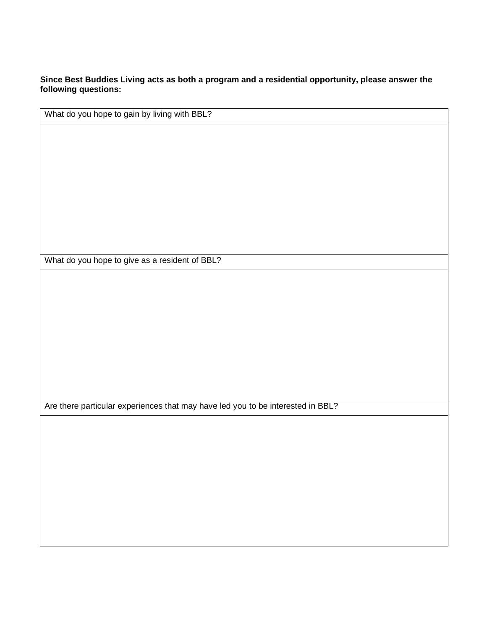**Since Best Buddies Living acts as both a program and a residential opportunity, please answer the following questions:** 

What do you hope to gain by living with BBL?

What do you hope to give as a resident of BBL?

Are there particular experiences that may have led you to be interested in BBL?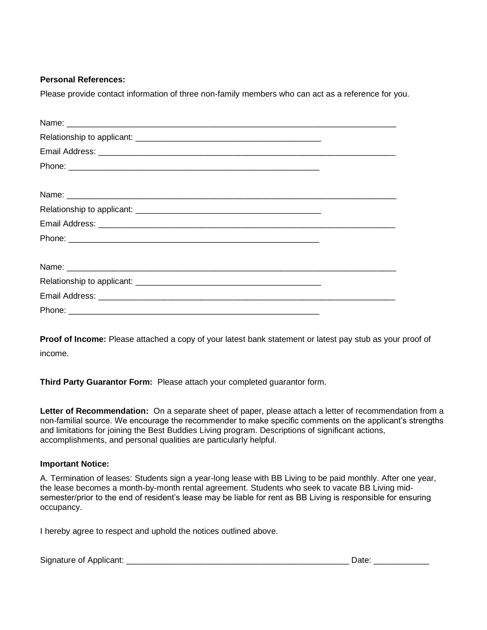#### **Personal References:**

Please provide contact information of three non-family members who can act as a reference for you.

**Proof of Income:** Please attached a copy of your latest bank statement or latest pay stub as your proof of income.

**Third Party Guarantor Form:** Please attach your completed guarantor form.

**Letter of Recommendation:** On a separate sheet of paper, please attach a letter of recommendation from a non-familial source. We encourage the recommender to make specific comments on the applicant's strengths and limitations for joining the Best Buddies Living program. Descriptions of significant actions, accomplishments, and personal qualities are particularly helpful.

#### **Important Notice:**

A. Termination of leases: Students sign a year-long lease with BB Living to be paid monthly. After one year, the lease becomes a month-by-month rental agreement. Students who seek to vacate BB Living midsemester/prior to the end of resident's lease may be liable for rent as BB Living is responsible for ensuring occupancy.

I hereby agree to respect and uphold the notices outlined above.

Signature of Applicant: \_\_\_\_\_\_\_\_\_\_\_\_\_\_\_\_\_\_\_\_\_\_\_\_\_\_\_\_\_\_\_\_\_\_\_\_\_\_\_\_\_\_\_\_\_\_\_\_ Date: \_\_\_\_\_\_\_\_\_\_\_\_